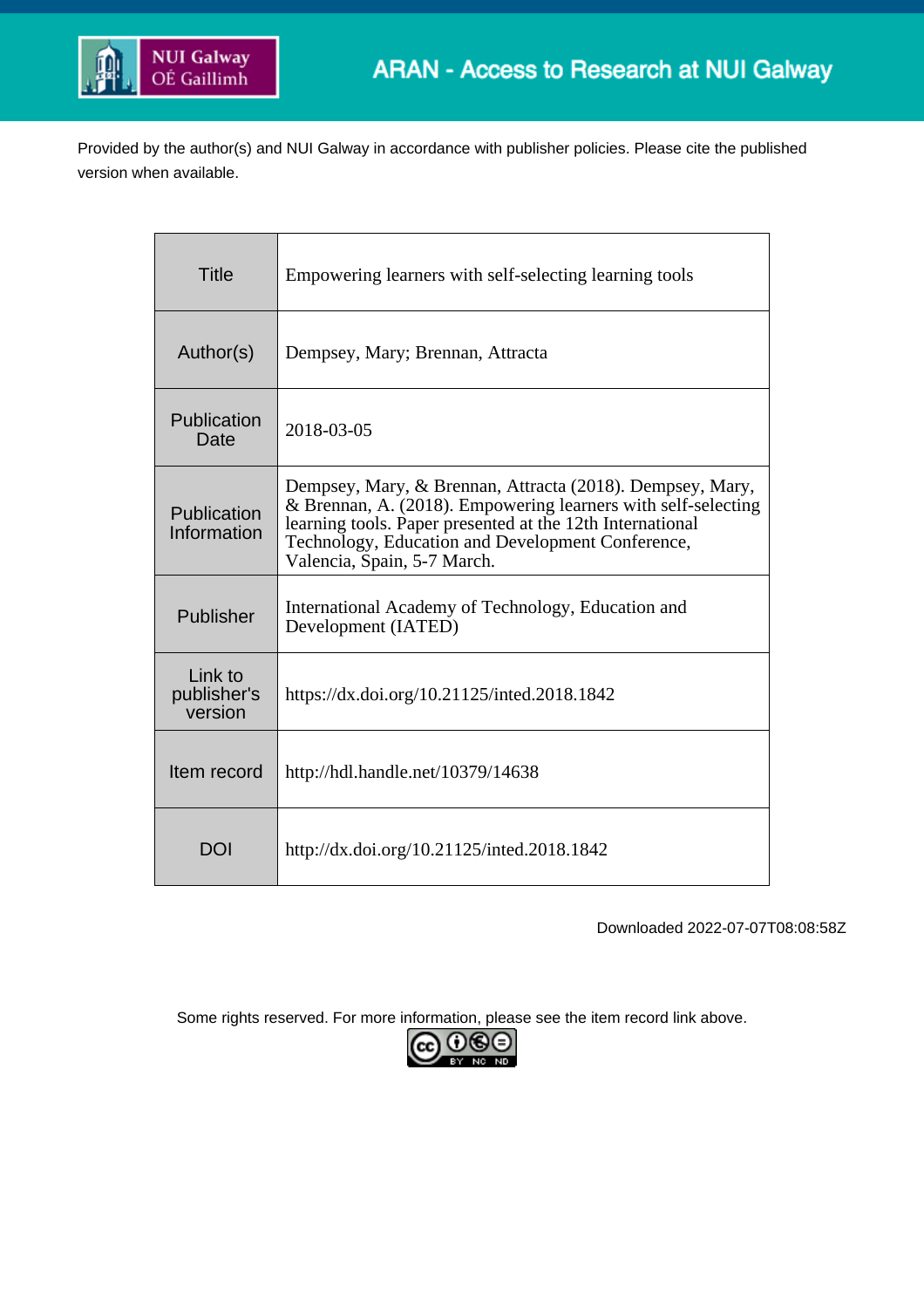

Provided by the author(s) and NUI Galway in accordance with publisher policies. Please cite the published version when available.

| <b>Title</b>                      | Empowering learners with self-selecting learning tools                                                                                                                                                                                                                      |  |  |  |
|-----------------------------------|-----------------------------------------------------------------------------------------------------------------------------------------------------------------------------------------------------------------------------------------------------------------------------|--|--|--|
| Author(s)                         | Dempsey, Mary; Brennan, Attracta                                                                                                                                                                                                                                            |  |  |  |
| Publication<br>Date               | 2018-03-05                                                                                                                                                                                                                                                                  |  |  |  |
| Publication<br>Information        | Dempsey, Mary, & Brennan, Attracta (2018). Dempsey, Mary,<br>& Brennan, A. (2018). Empowering learners with self-selecting<br>learning tools. Paper presented at the 12th International<br>Technology, Education and Development Conference,<br>Valencia, Spain, 5-7 March. |  |  |  |
| Publisher                         | International Academy of Technology, Education and<br>Development (IATED)                                                                                                                                                                                                   |  |  |  |
| Link to<br>publisher's<br>version | https://dx.doi.org/10.21125/inted.2018.1842                                                                                                                                                                                                                                 |  |  |  |
| Item record                       | http://hdl.handle.net/10379/14638                                                                                                                                                                                                                                           |  |  |  |
| <b>DOI</b>                        | http://dx.doi.org/10.21125/inted.2018.1842                                                                                                                                                                                                                                  |  |  |  |

Downloaded 2022-07-07T08:08:58Z

Some rights reserved. For more information, please see the item record link above.

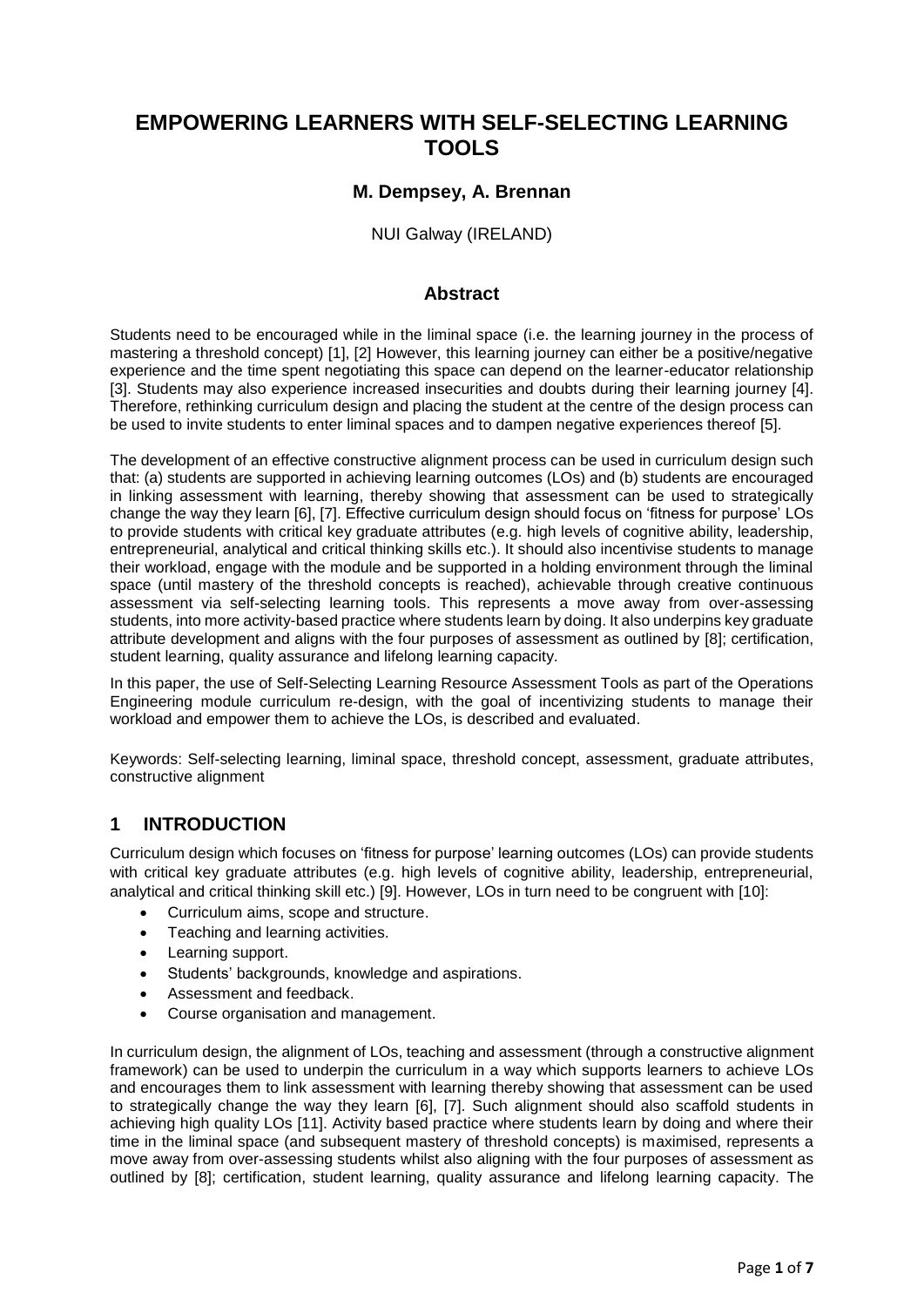# **EMPOWERING LEARNERS WITH SELF-SELECTING LEARNING TOOLS**

#### **M. Dempsey, A. Brennan**

NUI Galway (IRELAND)

#### **Abstract**

Students need to be encouraged while in the liminal space (i.e. the learning journey in the process of mastering a threshold concept) [1], [2] However, this learning journey can either be a positive/negative experience and the time spent negotiating this space can depend on the learner-educator relationship [3]. Students may also experience increased insecurities and doubts during their learning journey [4]. Therefore, rethinking curriculum design and placing the student at the centre of the design process can be used to invite students to enter liminal spaces and to dampen negative experiences thereof [5].

The development of an effective constructive alignment process can be used in curriculum design such that: (a) students are supported in achieving learning outcomes (LOs) and (b) students are encouraged in linking assessment with learning, thereby showing that assessment can be used to strategically change the way they learn [6], [7]. Effective curriculum design should focus on 'fitness for purpose' LOs to provide students with critical key graduate attributes (e.g. high levels of cognitive ability, leadership, entrepreneurial, analytical and critical thinking skills etc.). It should also incentivise students to manage their workload, engage with the module and be supported in a holding environment through the liminal space (until mastery of the threshold concepts is reached), achievable through creative continuous assessment via self-selecting learning tools. This represents a move away from over-assessing students, into more activity-based practice where students learn by doing. It also underpins key graduate attribute development and aligns with the four purposes of assessment as outlined by [8]; certification, student learning, quality assurance and lifelong learning capacity.

In this paper, the use of Self-Selecting Learning Resource Assessment Tools as part of the Operations Engineering module curriculum re-design, with the goal of incentivizing students to manage their workload and empower them to achieve the LOs, is described and evaluated.

Keywords: Self-selecting learning, liminal space, threshold concept, assessment, graduate attributes, constructive alignment

### **1 INTRODUCTION**

Curriculum design which focuses on 'fitness for purpose' learning outcomes (LOs) can provide students with critical key graduate attributes (e.g. high levels of cognitive ability, leadership, entrepreneurial, analytical and critical thinking skill etc.) [9]. However, LOs in turn need to be congruent with [10]:

- Curriculum aims, scope and structure.
- Teaching and learning activities.
- Learning support.
- Students' backgrounds, knowledge and aspirations.
- Assessment and feedback.
- Course organisation and management.

In curriculum design, the alignment of LOs, teaching and assessment (through a constructive alignment framework) can be used to underpin the curriculum in a way which supports learners to achieve LOs and encourages them to link assessment with learning thereby showing that assessment can be used to strategically change the way they learn [6], [7]. Such alignment should also scaffold students in achieving high quality LOs [11]. Activity based practice where students learn by doing and where their time in the liminal space (and subsequent mastery of threshold concepts) is maximised, represents a move away from over-assessing students whilst also aligning with the four purposes of assessment as outlined by [8]; certification, student learning, quality assurance and lifelong learning capacity. The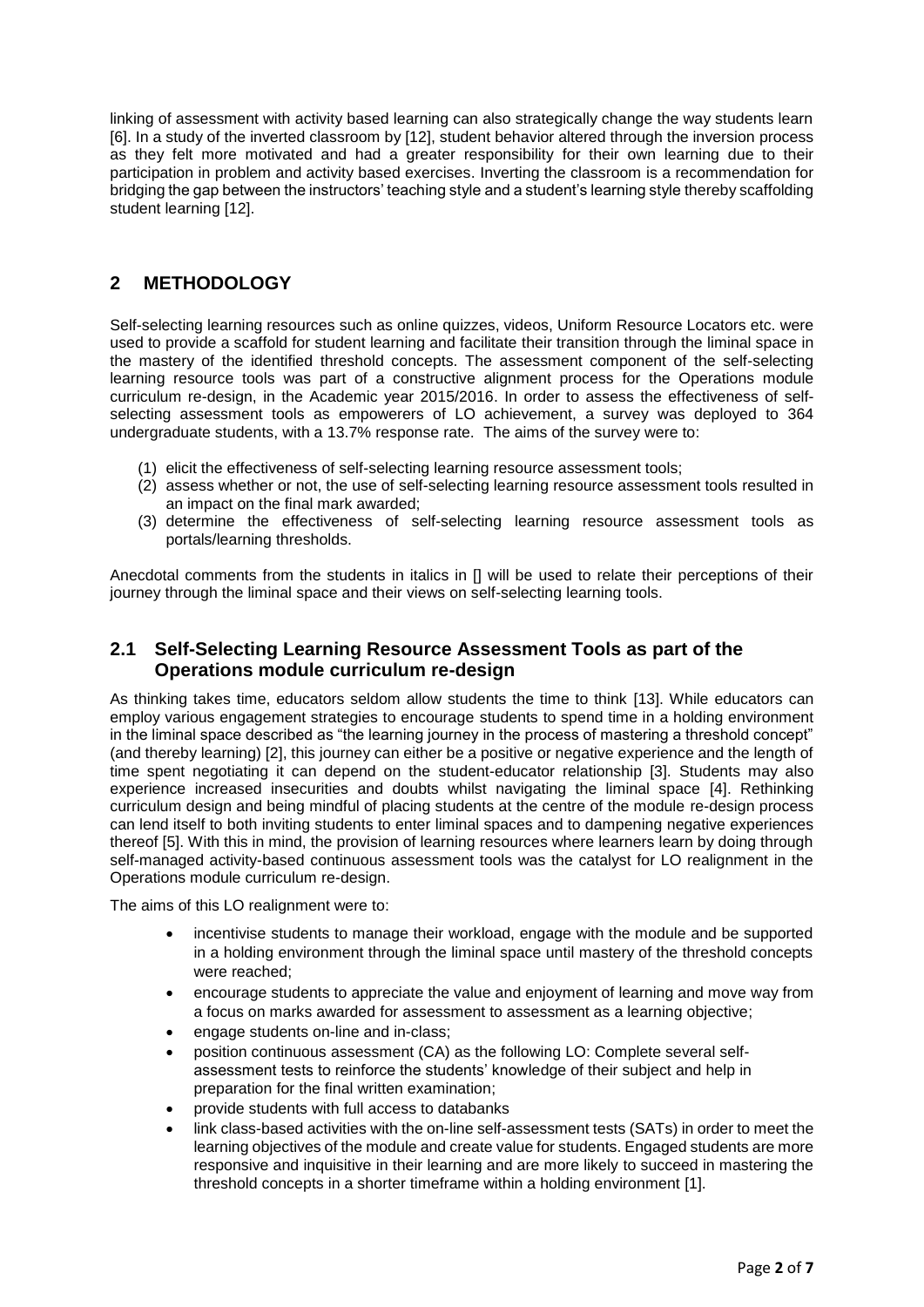linking of assessment with activity based learning can also strategically change the way students learn [6]. In a study of the inverted classroom by [12], student behavior altered through the inversion process as they felt more motivated and had a greater responsibility for their own learning due to their participation in problem and activity based exercises. Inverting the classroom is a recommendation for bridging the gap between the instructors' teaching style and a student's learning style thereby scaffolding student learning [12].

### **2 METHODOLOGY**

Self-selecting learning resources such as online quizzes, videos, Uniform Resource Locators etc. were used to provide a scaffold for student learning and facilitate their transition through the liminal space in the mastery of the identified threshold concepts. The assessment component of the self-selecting learning resource tools was part of a constructive alignment process for the Operations module curriculum re-design, in the Academic year 2015/2016. In order to assess the effectiveness of selfselecting assessment tools as empowerers of LO achievement, a survey was deployed to 364 undergraduate students, with a 13.7% response rate. The aims of the survey were to:

- (1) elicit the effectiveness of self-selecting learning resource assessment tools;
- (2) assess whether or not, the use of self-selecting learning resource assessment tools resulted in an impact on the final mark awarded;
- (3) determine the effectiveness of self-selecting learning resource assessment tools as portals/learning thresholds.

Anecdotal comments from the students in italics in [] will be used to relate their perceptions of their journey through the liminal space and their views on self-selecting learning tools.

### **2.1 Self-Selecting Learning Resource Assessment Tools as part of the Operations module curriculum re-design**

As thinking takes time, educators seldom allow students the time to think [13]. While educators can employ various engagement strategies to encourage students to spend time in a holding environment in the liminal space described as "the learning journey in the process of mastering a threshold concept" (and thereby learning) [2], this journey can either be a positive or negative experience and the length of time spent negotiating it can depend on the student-educator relationship [3]. Students may also experience increased insecurities and doubts whilst navigating the liminal space [4]. Rethinking curriculum design and being mindful of placing students at the centre of the module re-design process can lend itself to both inviting students to enter liminal spaces and to dampening negative experiences thereof [5]. With this in mind, the provision of learning resources where learners learn by doing through self-managed activity-based continuous assessment tools was the catalyst for LO realignment in the Operations module curriculum re-design.

The aims of this LO realignment were to:

- incentivise students to manage their workload, engage with the module and be supported in a holding environment through the liminal space until mastery of the threshold concepts were reached;
- encourage students to appreciate the value and enjoyment of learning and move way from a focus on marks awarded for assessment to assessment as a learning objective;
- engage students on-line and in-class;
- position continuous assessment (CA) as the following LO: Complete several selfassessment tests to reinforce the students' knowledge of their subject and help in preparation for the final written examination;
- provide students with full access to databanks
- link class-based activities with the on-line self-assessment tests (SATs) in order to meet the learning objectives of the module and create value for students. Engaged students are more responsive and inquisitive in their learning and are more likely to succeed in mastering the threshold concepts in a shorter timeframe within a holding environment [1].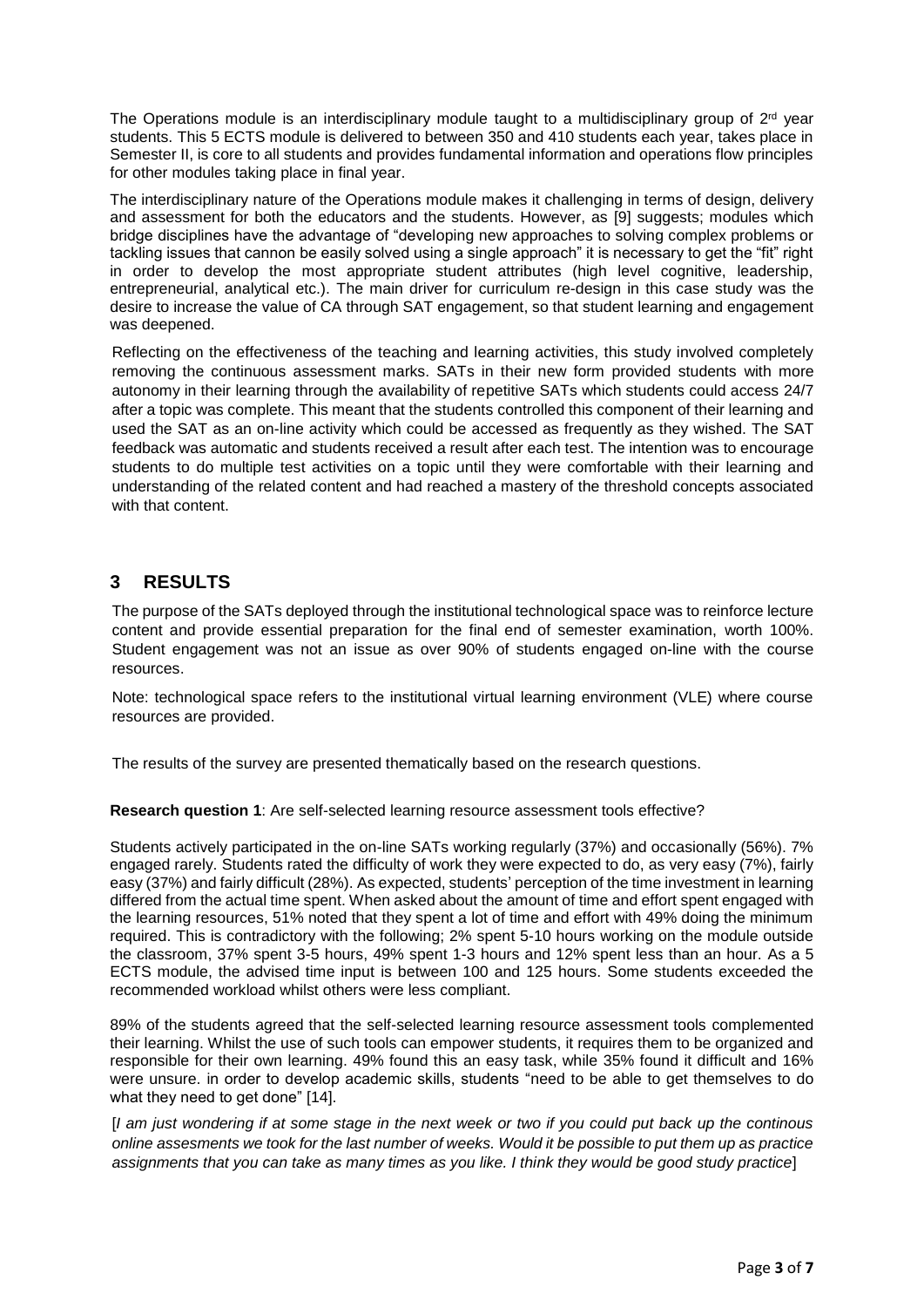The Operations module is an interdisciplinary module taught to a multidisciplinary group of 2<sup>rd</sup> year students. This 5 ECTS module is delivered to between 350 and 410 students each year, takes place in Semester II, is core to all students and provides fundamental information and operations flow principles for other modules taking place in final year.

The interdisciplinary nature of the Operations module makes it challenging in terms of design, delivery and assessment for both the educators and the students. However, as [9] suggests; modules which bridge disciplines have the advantage of "developing new approaches to solving complex problems or tackling issues that cannon be easily solved using a single approach" it is necessary to get the "fit" right in order to develop the most appropriate student attributes (high level cognitive, leadership, entrepreneurial, analytical etc.). The main driver for curriculum re-design in this case study was the desire to increase the value of CA through SAT engagement, so that student learning and engagement was deepened.

Reflecting on the effectiveness of the teaching and learning activities, this study involved completely removing the continuous assessment marks. SATs in their new form provided students with more autonomy in their learning through the availability of repetitive SATs which students could access 24/7 after a topic was complete. This meant that the students controlled this component of their learning and used the SAT as an on-line activity which could be accessed as frequently as they wished. The SAT feedback was automatic and students received a result after each test. The intention was to encourage students to do multiple test activities on a topic until they were comfortable with their learning and understanding of the related content and had reached a mastery of the threshold concepts associated with that content.

## **3 RESULTS**

The purpose of the SATs deployed through the institutional technological space was to reinforce lecture content and provide essential preparation for the final end of semester examination, worth 100%. Student engagement was not an issue as over 90% of students engaged on-line with the course resources.

Note: technological space refers to the institutional virtual learning environment (VLE) where course resources are provided.

The results of the survey are presented thematically based on the research questions.

**Research question 1**: Are self-selected learning resource assessment tools effective?

Students actively participated in the on-line SATs working regularly (37%) and occasionally (56%). 7% engaged rarely. Students rated the difficulty of work they were expected to do, as very easy (7%), fairly easy (37%) and fairly difficult (28%). As expected, students' perception of the time investment in learning differed from the actual time spent. When asked about the amount of time and effort spent engaged with the learning resources, 51% noted that they spent a lot of time and effort with 49% doing the minimum required. This is contradictory with the following; 2% spent 5-10 hours working on the module outside the classroom, 37% spent 3-5 hours, 49% spent 1-3 hours and 12% spent less than an hour. As a 5 ECTS module, the advised time input is between 100 and 125 hours. Some students exceeded the recommended workload whilst others were less compliant.

89% of the students agreed that the self-selected learning resource assessment tools complemented their learning. Whilst the use of such tools can empower students, it requires them to be organized and responsible for their own learning. 49% found this an easy task, while 35% found it difficult and 16% were unsure. in order to develop academic skills, students "need to be able to get themselves to do what they need to get done" [14].

[*I am just wondering if at some stage in the next week or two if you could put back up the continous online assesments we took for the last number of weeks. Would it be possible to put them up as practice assignments that you can take as many times as you like. I think they would be good study practice*]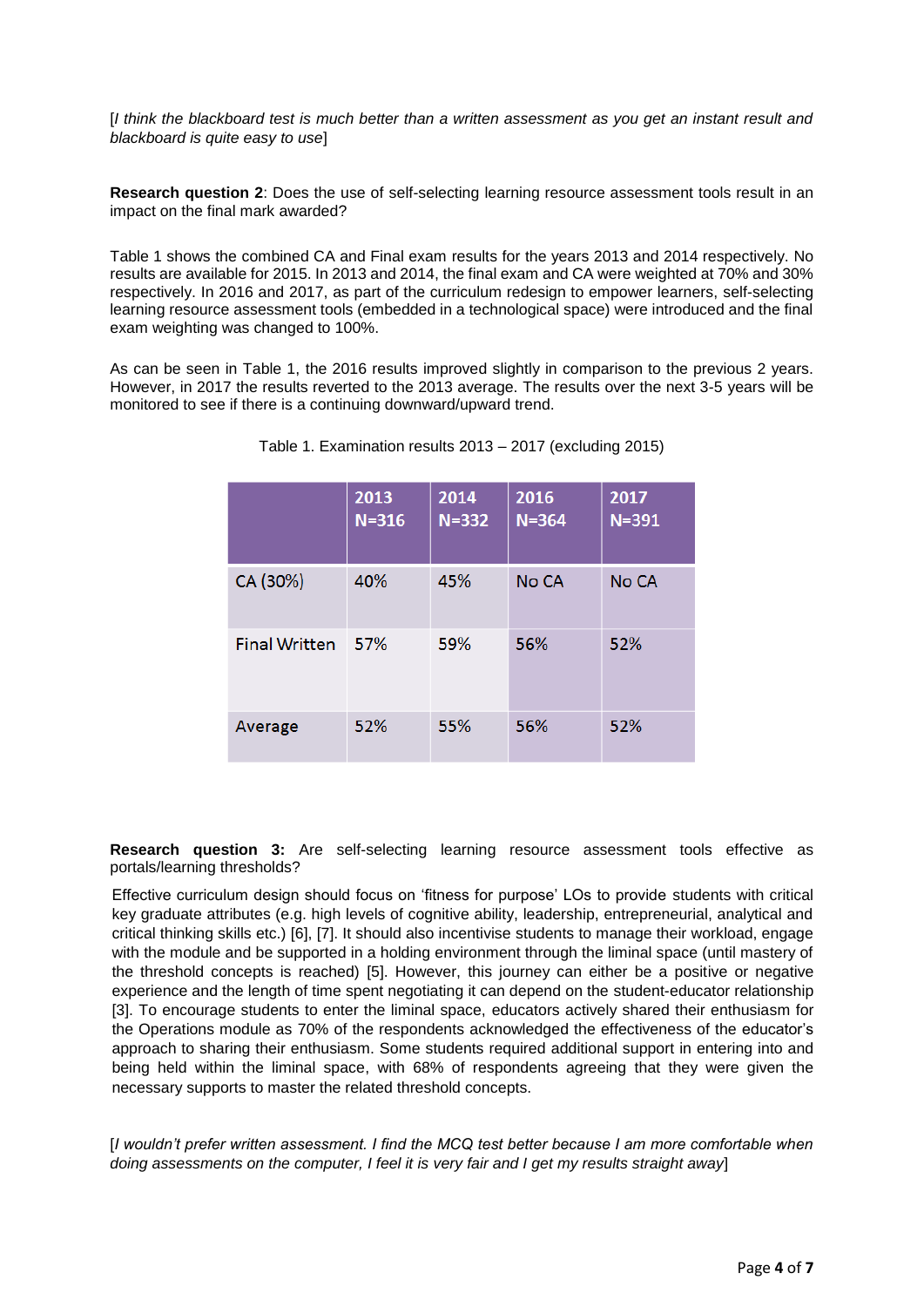[*I think the blackboard test is much better than a written assessment as you get an instant result and blackboard is quite easy to use*]

**Research question 2**: Does the use of self-selecting learning resource assessment tools result in an impact on the final mark awarded?

Table 1 shows the combined CA and Final exam results for the years 2013 and 2014 respectively. No results are available for 2015. In 2013 and 2014, the final exam and CA were weighted at 70% and 30% respectively. In 2016 and 2017, as part of the curriculum redesign to empower learners, self-selecting learning resource assessment tools (embedded in a technological space) were introduced and the final exam weighting was changed to 100%.

As can be seen in Table 1, the 2016 results improved slightly in comparison to the previous 2 years. However, in 2017 the results reverted to the 2013 average. The results over the next 3-5 years will be monitored to see if there is a continuing downward/upward trend.

|                      | 2013<br>$N = 316$ | 2014<br>$N = 332$ | 2016<br>$N = 364$ | 2017<br>$N = 391$ |
|----------------------|-------------------|-------------------|-------------------|-------------------|
| CA (30%)             | 40%               | 45%               | No CA             | No CA             |
| <b>Final Written</b> | 57%               | 59%               | 56%               | 52%               |
| Average              | 52%               | 55%               | 56%               | 52%               |

Table 1. Examination results 2013 – 2017 (excluding 2015)

**Research question 3:** Are self-selecting learning resource assessment tools effective as portals/learning thresholds?

Effective curriculum design should focus on 'fitness for purpose' LOs to provide students with critical key graduate attributes (e.g. high levels of cognitive ability, leadership, entrepreneurial, analytical and critical thinking skills etc.) [6], [7]. It should also incentivise students to manage their workload, engage with the module and be supported in a holding environment through the liminal space (until mastery of the threshold concepts is reached) [5]. However, this journey can either be a positive or negative experience and the length of time spent negotiating it can depend on the student-educator relationship [3]. To encourage students to enter the liminal space, educators actively shared their enthusiasm for the Operations module as 70% of the respondents acknowledged the effectiveness of the educator's approach to sharing their enthusiasm. Some students required additional support in entering into and being held within the liminal space, with 68% of respondents agreeing that they were given the necessary supports to master the related threshold concepts.

[*I wouldn't prefer written assessment. I find the MCQ test better because I am more comfortable when doing assessments on the computer, I feel it is very fair and I get my results straight away*]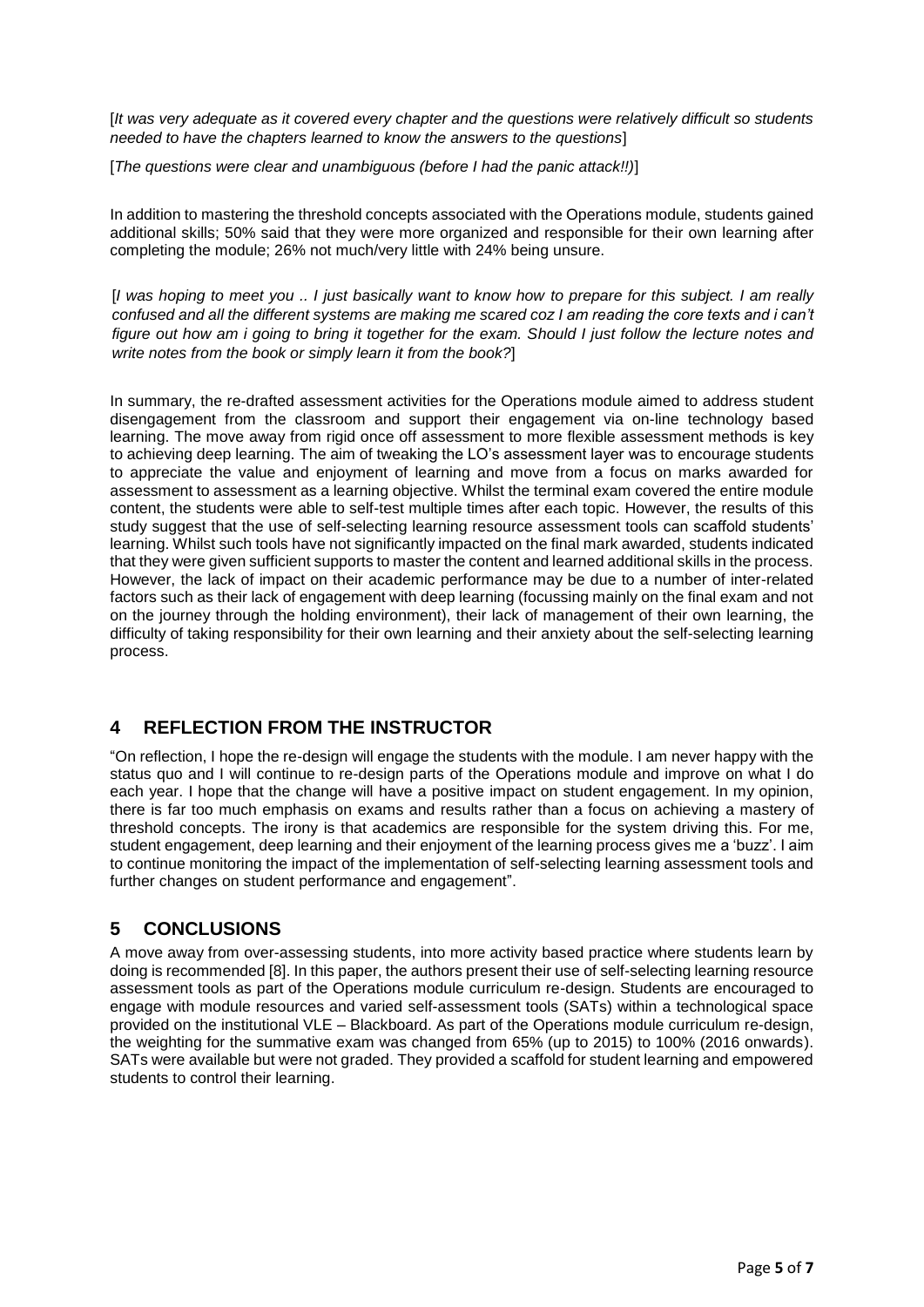[*It was very adequate as it covered every chapter and the questions were relatively difficult so students needed to have the chapters learned to know the answers to the questions*]

[*The questions were clear and unambiguous (before I had the panic attack!!)*]

In addition to mastering the threshold concepts associated with the Operations module, students gained additional skills; 50% said that they were more organized and responsible for their own learning after completing the module; 26% not much/very little with 24% being unsure.

[*I was hoping to meet you .. I just basically want to know how to prepare for this subject. I am really confused and all the different systems are making me scared coz I am reading the core texts and i can't figure out how am i going to bring it together for the exam. Should I just follow the lecture notes and write notes from the book or simply learn it from the book?*]

In summary, the re-drafted assessment activities for the Operations module aimed to address student disengagement from the classroom and support their engagement via on-line technology based learning. The move away from rigid once off assessment to more flexible assessment methods is key to achieving deep learning. The aim of tweaking the LO's assessment layer was to encourage students to appreciate the value and enjoyment of learning and move from a focus on marks awarded for assessment to assessment as a learning objective. Whilst the terminal exam covered the entire module content, the students were able to self-test multiple times after each topic. However, the results of this study suggest that the use of self-selecting learning resource assessment tools can scaffold students' learning. Whilst such tools have not significantly impacted on the final mark awarded, students indicated that they were given sufficient supports to master the content and learned additional skills in the process. However, the lack of impact on their academic performance may be due to a number of inter-related factors such as their lack of engagement with deep learning (focussing mainly on the final exam and not on the journey through the holding environment), their lack of management of their own learning, the difficulty of taking responsibility for their own learning and their anxiety about the self-selecting learning process.

## **4 REFLECTION FROM THE INSTRUCTOR**

"On reflection, I hope the re-design will engage the students with the module. I am never happy with the status quo and I will continue to re-design parts of the Operations module and improve on what I do each year. I hope that the change will have a positive impact on student engagement. In my opinion, there is far too much emphasis on exams and results rather than a focus on achieving a mastery of threshold concepts. The irony is that academics are responsible for the system driving this. For me, student engagement, deep learning and their enjoyment of the learning process gives me a 'buzz'. I aim to continue monitoring the impact of the implementation of self-selecting learning assessment tools and further changes on student performance and engagement".

# **5 CONCLUSIONS**

A move away from over-assessing students, into more activity based practice where students learn by doing is recommended [8]. In this paper, the authors present their use of self-selecting learning resource assessment tools as part of the Operations module curriculum re-design. Students are encouraged to engage with module resources and varied self-assessment tools (SATs) within a technological space provided on the institutional VLE – Blackboard. As part of the Operations module curriculum re-design, the weighting for the summative exam was changed from 65% (up to 2015) to 100% (2016 onwards). SATs were available but were not graded. They provided a scaffold for student learning and empowered students to control their learning.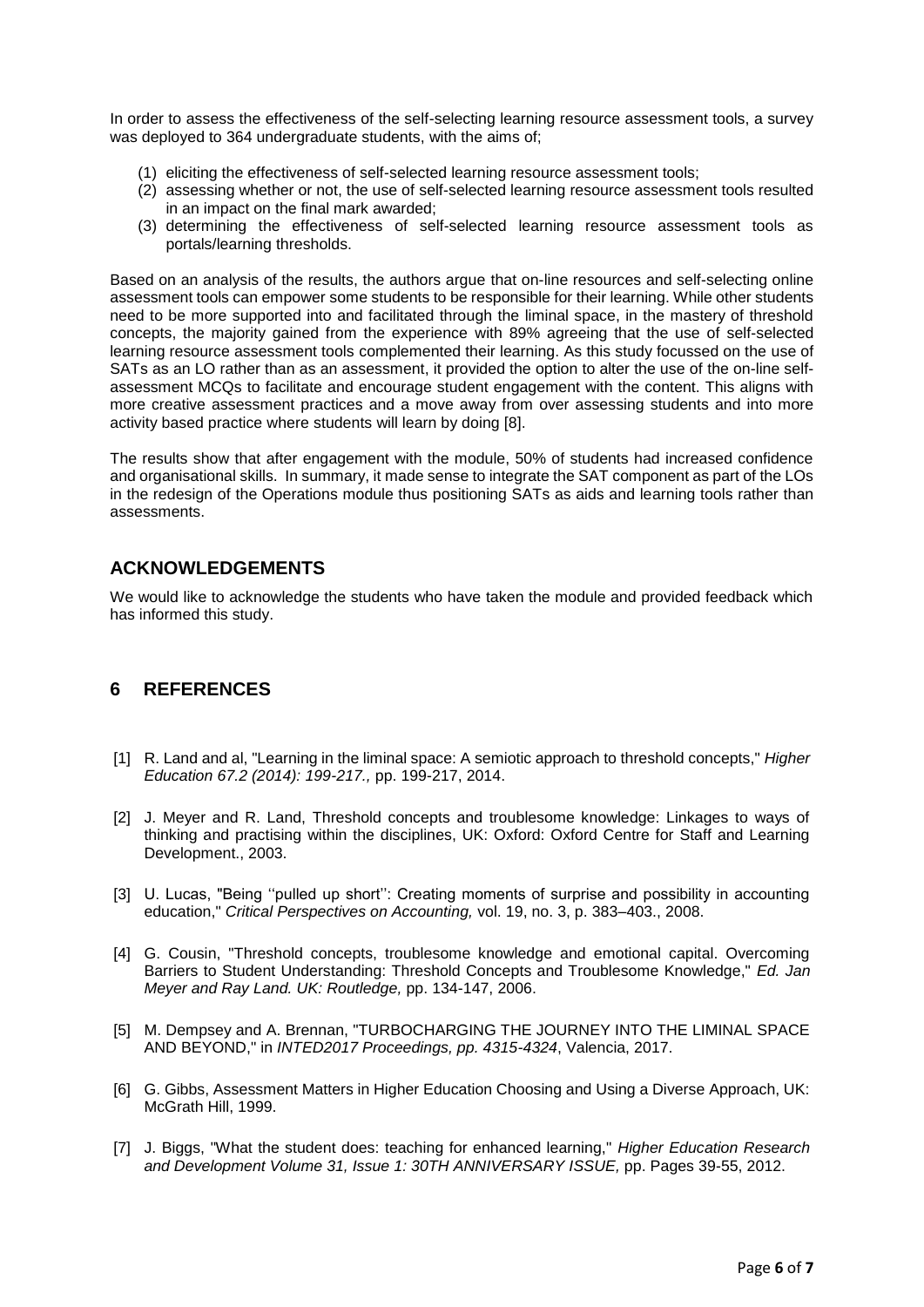In order to assess the effectiveness of the self-selecting learning resource assessment tools, a survey was deployed to 364 undergraduate students, with the aims of;

- (1) eliciting the effectiveness of self-selected learning resource assessment tools;
- (2) assessing whether or not, the use of self-selected learning resource assessment tools resulted in an impact on the final mark awarded;
- (3) determining the effectiveness of self-selected learning resource assessment tools as portals/learning thresholds.

Based on an analysis of the results, the authors argue that on-line resources and self-selecting online assessment tools can empower some students to be responsible for their learning. While other students need to be more supported into and facilitated through the liminal space, in the mastery of threshold concepts, the majority gained from the experience with 89% agreeing that the use of self-selected learning resource assessment tools complemented their learning. As this study focussed on the use of SATs as an LO rather than as an assessment, it provided the option to alter the use of the on-line selfassessment MCQs to facilitate and encourage student engagement with the content. This aligns with more creative assessment practices and a move away from over assessing students and into more activity based practice where students will learn by doing [8].

The results show that after engagement with the module, 50% of students had increased confidence and organisational skills. In summary, it made sense to integrate the SAT component as part of the LOs in the redesign of the Operations module thus positioning SATs as aids and learning tools rather than assessments.

### **ACKNOWLEDGEMENTS**

We would like to acknowledge the students who have taken the module and provided feedback which has informed this study.

### **6 REFERENCES**

- [1] R. Land and al, "Learning in the liminal space: A semiotic approach to threshold concepts," *Higher Education 67.2 (2014): 199-217.,* pp. 199-217, 2014.
- [2] J. Meyer and R. Land, Threshold concepts and troublesome knowledge: Linkages to ways of thinking and practising within the disciplines, UK: Oxford: Oxford Centre for Staff and Learning Development., 2003.
- [3] U. Lucas, "Being "pulled up short": Creating moments of surprise and possibility in accounting education," *Critical Perspectives on Accounting,* vol. 19, no. 3, p. 383–403., 2008.
- [4] G. Cousin, "Threshold concepts, troublesome knowledge and emotional capital. Overcoming Barriers to Student Understanding: Threshold Concepts and Troublesome Knowledge," *Ed. Jan Meyer and Ray Land. UK: Routledge,* pp. 134-147, 2006.
- [5] M. Dempsey and A. Brennan, "TURBOCHARGING THE JOURNEY INTO THE LIMINAL SPACE AND BEYOND," in *INTED2017 Proceedings, pp. 4315-4324*, Valencia, 2017.
- [6] G. Gibbs, Assessment Matters in Higher Education Choosing and Using a Diverse Approach, UK: McGrath Hill, 1999.
- [7] J. Biggs, "What the student does: teaching for enhanced learning," *Higher Education Research and Development Volume 31, Issue 1: 30TH ANNIVERSARY ISSUE,* pp. Pages 39-55, 2012.